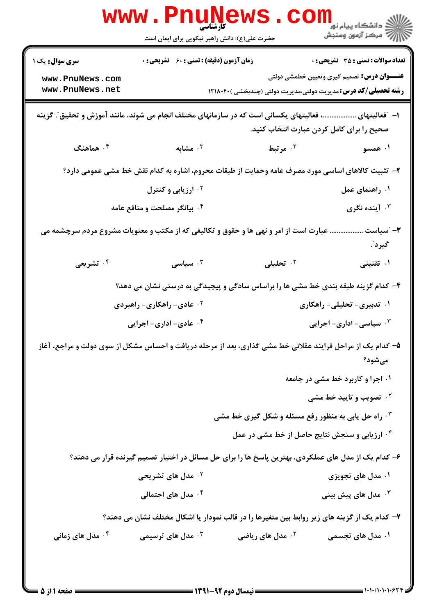| <b>زمان آزمون (دقیقه) : تستی : 60 ٪ تشریحی : 0</b><br><b>تعداد سوالات : تستی : 35 - تشریحی : 0</b><br><b>سری سوال :</b> یک ۱<br><b>عنـــوان درس:</b> تصمیم گیری وتعیین خطمشی دولتی<br>www.PnuNews.com<br>www.PnuNews.net<br><b>رشته تحصیلی/کد درس:</b> مدیریت دولتی،مدیریت دولتی (چندبخشی )۱۲۱۸۰۴۰<br>ا– "فعالیتهای ………………، فعالیتهای یکسانی است که در سازمانهای مختلف انجام می شوند، مانند آموزش و تحقیق ؒ. گزینه<br>صحیح را برای کامل کردن عبارت انتخاب کنید.<br>۰۴ هماهنگ<br>ه مشابه $\cdot$ ۳<br>۰ <sup>۲</sup> مرتبط<br>۰۱ همسو<br>۲- تثبیت کالاهای اساسی مورد مصرف عامه وحمایت از طبقات محروم، اشاره به کدام نقش خط مشی عمومی دارد؟<br>۰۱ راهنمای عمل<br><sup>۰۲</sup> ارزیابی و کنترل<br>آينده نگرى $\cdot$<br>۰۴ بیانگر مصلحت و منافع عامه<br>سياست $-$<br>عبارت است از امر و نهی ها و حقوق و تکالیفی که از مکتب و معنویات مشروع مردم سرچشمه می<br>گيرد ؒ.<br>۰ <sup>۲</sup> تحلیلی<br>۰۴ تشریعی<br>سياسى $\cdot$<br>۰۱ تقنینی<br>۴- کدام گزینه طبقه بندی خط مشی ها را براساس سادگی و پیچیدگی به درستی نشان می دهد؟<br>۰۱ تدبیری- تحلیلی- راهکاری<br>۰ <sup>۲</sup> عادی- راهکاری- راهبردی<br>۰۴ عادی- اداری- اجرایی<br>۰۳ سیاسی- اداری- اجرایی<br>۵– کدام یک از مراحل فرایند عقلائی خط مشی گذاری، بعد از مرحله دریافت و احساس مشکل از سوی دولت و مراجع، آغاز<br>مىشود؟<br>۰۱ اجرا و کاربرد خط مشی در جامعه<br><b>4 قصویب و تایید خط مشی</b><br><b>۰۳ راه حل یابی به منظور رفع مسئله و شکل گیری خط مشی</b><br><b>۴ ارزیابی و سنجش نتایج حاصل از خط مشی در عمل</b><br>۶– کدام یک از مدل های عملکردی، بهترین پاسخ ها را برای حل مسائل در اختیار تصمیم گیرنده قرار می دهند؟<br><sup>۲</sup> ۰ مدل های تشریحی<br>۰۱ مدل های تجویزی<br>۰ <sup>۴</sup> مدل های احتمالی<br>مدل های پیش بینی $\cdot^{\mathsf{v}}$<br>۷- کدام یک از گزینه های زیر روابط بین متغیرها را در قالب نمودار یا اشکال مختلف نشان می دهند؟<br>مدل های ریاضی $\cdot$ ۲ $^{\mathsf{V}}$<br>۰ <sup>۴</sup> مدل های زمانی<br>مدل های ترسیمی $\cdot^{\mathsf{v}}$<br>۰۱ مدل های تجسمی | www . Pnu<br><b>ا پہلے اس</b><br>کارشناسی<br>حضرت علی(ع): دانش راهبر نیکویی برای ایمان است | ڪ دانشڪاه پيا <sub>م</sub> نور<br><mark>√</mark> مرڪز آزمون وسنڊش |
|---------------------------------------------------------------------------------------------------------------------------------------------------------------------------------------------------------------------------------------------------------------------------------------------------------------------------------------------------------------------------------------------------------------------------------------------------------------------------------------------------------------------------------------------------------------------------------------------------------------------------------------------------------------------------------------------------------------------------------------------------------------------------------------------------------------------------------------------------------------------------------------------------------------------------------------------------------------------------------------------------------------------------------------------------------------------------------------------------------------------------------------------------------------------------------------------------------------------------------------------------------------------------------------------------------------------------------------------------------------------------------------------------------------------------------------------------------------------------------------------------------------------------------------------------------------------------------------------------------------------------------------------------------------------------------------------------------------------------------------------------------------------------------------------------------------------------------------------------------------------------------------------------------------------------------------------------------|--------------------------------------------------------------------------------------------|-------------------------------------------------------------------|
|                                                                                                                                                                                                                                                                                                                                                                                                                                                                                                                                                                                                                                                                                                                                                                                                                                                                                                                                                                                                                                                                                                                                                                                                                                                                                                                                                                                                                                                                                                                                                                                                                                                                                                                                                                                                                                                                                                                                                         |                                                                                            |                                                                   |
|                                                                                                                                                                                                                                                                                                                                                                                                                                                                                                                                                                                                                                                                                                                                                                                                                                                                                                                                                                                                                                                                                                                                                                                                                                                                                                                                                                                                                                                                                                                                                                                                                                                                                                                                                                                                                                                                                                                                                         |                                                                                            |                                                                   |
|                                                                                                                                                                                                                                                                                                                                                                                                                                                                                                                                                                                                                                                                                                                                                                                                                                                                                                                                                                                                                                                                                                                                                                                                                                                                                                                                                                                                                                                                                                                                                                                                                                                                                                                                                                                                                                                                                                                                                         |                                                                                            |                                                                   |
|                                                                                                                                                                                                                                                                                                                                                                                                                                                                                                                                                                                                                                                                                                                                                                                                                                                                                                                                                                                                                                                                                                                                                                                                                                                                                                                                                                                                                                                                                                                                                                                                                                                                                                                                                                                                                                                                                                                                                         |                                                                                            |                                                                   |
|                                                                                                                                                                                                                                                                                                                                                                                                                                                                                                                                                                                                                                                                                                                                                                                                                                                                                                                                                                                                                                                                                                                                                                                                                                                                                                                                                                                                                                                                                                                                                                                                                                                                                                                                                                                                                                                                                                                                                         |                                                                                            |                                                                   |
|                                                                                                                                                                                                                                                                                                                                                                                                                                                                                                                                                                                                                                                                                                                                                                                                                                                                                                                                                                                                                                                                                                                                                                                                                                                                                                                                                                                                                                                                                                                                                                                                                                                                                                                                                                                                                                                                                                                                                         |                                                                                            |                                                                   |
|                                                                                                                                                                                                                                                                                                                                                                                                                                                                                                                                                                                                                                                                                                                                                                                                                                                                                                                                                                                                                                                                                                                                                                                                                                                                                                                                                                                                                                                                                                                                                                                                                                                                                                                                                                                                                                                                                                                                                         |                                                                                            |                                                                   |
|                                                                                                                                                                                                                                                                                                                                                                                                                                                                                                                                                                                                                                                                                                                                                                                                                                                                                                                                                                                                                                                                                                                                                                                                                                                                                                                                                                                                                                                                                                                                                                                                                                                                                                                                                                                                                                                                                                                                                         |                                                                                            |                                                                   |
|                                                                                                                                                                                                                                                                                                                                                                                                                                                                                                                                                                                                                                                                                                                                                                                                                                                                                                                                                                                                                                                                                                                                                                                                                                                                                                                                                                                                                                                                                                                                                                                                                                                                                                                                                                                                                                                                                                                                                         |                                                                                            |                                                                   |
|                                                                                                                                                                                                                                                                                                                                                                                                                                                                                                                                                                                                                                                                                                                                                                                                                                                                                                                                                                                                                                                                                                                                                                                                                                                                                                                                                                                                                                                                                                                                                                                                                                                                                                                                                                                                                                                                                                                                                         |                                                                                            |                                                                   |
|                                                                                                                                                                                                                                                                                                                                                                                                                                                                                                                                                                                                                                                                                                                                                                                                                                                                                                                                                                                                                                                                                                                                                                                                                                                                                                                                                                                                                                                                                                                                                                                                                                                                                                                                                                                                                                                                                                                                                         |                                                                                            |                                                                   |
|                                                                                                                                                                                                                                                                                                                                                                                                                                                                                                                                                                                                                                                                                                                                                                                                                                                                                                                                                                                                                                                                                                                                                                                                                                                                                                                                                                                                                                                                                                                                                                                                                                                                                                                                                                                                                                                                                                                                                         |                                                                                            |                                                                   |
|                                                                                                                                                                                                                                                                                                                                                                                                                                                                                                                                                                                                                                                                                                                                                                                                                                                                                                                                                                                                                                                                                                                                                                                                                                                                                                                                                                                                                                                                                                                                                                                                                                                                                                                                                                                                                                                                                                                                                         |                                                                                            |                                                                   |
|                                                                                                                                                                                                                                                                                                                                                                                                                                                                                                                                                                                                                                                                                                                                                                                                                                                                                                                                                                                                                                                                                                                                                                                                                                                                                                                                                                                                                                                                                                                                                                                                                                                                                                                                                                                                                                                                                                                                                         |                                                                                            |                                                                   |
|                                                                                                                                                                                                                                                                                                                                                                                                                                                                                                                                                                                                                                                                                                                                                                                                                                                                                                                                                                                                                                                                                                                                                                                                                                                                                                                                                                                                                                                                                                                                                                                                                                                                                                                                                                                                                                                                                                                                                         |                                                                                            |                                                                   |
|                                                                                                                                                                                                                                                                                                                                                                                                                                                                                                                                                                                                                                                                                                                                                                                                                                                                                                                                                                                                                                                                                                                                                                                                                                                                                                                                                                                                                                                                                                                                                                                                                                                                                                                                                                                                                                                                                                                                                         |                                                                                            |                                                                   |
|                                                                                                                                                                                                                                                                                                                                                                                                                                                                                                                                                                                                                                                                                                                                                                                                                                                                                                                                                                                                                                                                                                                                                                                                                                                                                                                                                                                                                                                                                                                                                                                                                                                                                                                                                                                                                                                                                                                                                         |                                                                                            |                                                                   |
|                                                                                                                                                                                                                                                                                                                                                                                                                                                                                                                                                                                                                                                                                                                                                                                                                                                                                                                                                                                                                                                                                                                                                                                                                                                                                                                                                                                                                                                                                                                                                                                                                                                                                                                                                                                                                                                                                                                                                         |                                                                                            |                                                                   |
|                                                                                                                                                                                                                                                                                                                                                                                                                                                                                                                                                                                                                                                                                                                                                                                                                                                                                                                                                                                                                                                                                                                                                                                                                                                                                                                                                                                                                                                                                                                                                                                                                                                                                                                                                                                                                                                                                                                                                         |                                                                                            |                                                                   |
|                                                                                                                                                                                                                                                                                                                                                                                                                                                                                                                                                                                                                                                                                                                                                                                                                                                                                                                                                                                                                                                                                                                                                                                                                                                                                                                                                                                                                                                                                                                                                                                                                                                                                                                                                                                                                                                                                                                                                         |                                                                                            |                                                                   |
|                                                                                                                                                                                                                                                                                                                                                                                                                                                                                                                                                                                                                                                                                                                                                                                                                                                                                                                                                                                                                                                                                                                                                                                                                                                                                                                                                                                                                                                                                                                                                                                                                                                                                                                                                                                                                                                                                                                                                         |                                                                                            |                                                                   |
|                                                                                                                                                                                                                                                                                                                                                                                                                                                                                                                                                                                                                                                                                                                                                                                                                                                                                                                                                                                                                                                                                                                                                                                                                                                                                                                                                                                                                                                                                                                                                                                                                                                                                                                                                                                                                                                                                                                                                         |                                                                                            |                                                                   |
|                                                                                                                                                                                                                                                                                                                                                                                                                                                                                                                                                                                                                                                                                                                                                                                                                                                                                                                                                                                                                                                                                                                                                                                                                                                                                                                                                                                                                                                                                                                                                                                                                                                                                                                                                                                                                                                                                                                                                         |                                                                                            |                                                                   |
|                                                                                                                                                                                                                                                                                                                                                                                                                                                                                                                                                                                                                                                                                                                                                                                                                                                                                                                                                                                                                                                                                                                                                                                                                                                                                                                                                                                                                                                                                                                                                                                                                                                                                                                                                                                                                                                                                                                                                         |                                                                                            |                                                                   |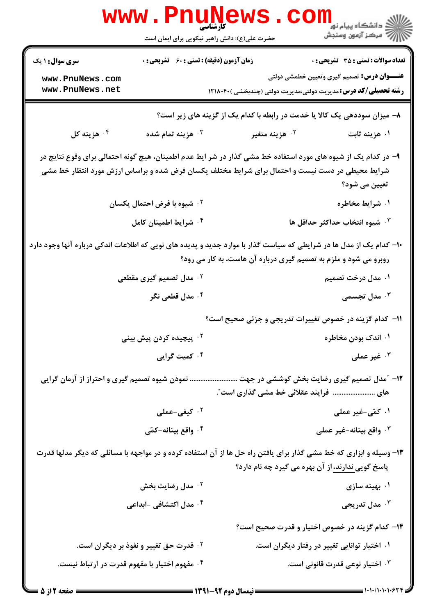|                                                                                                                     | <b>WWW.PNUNEWS</b><br><b>کارشناسی</b><br>حضرت علی(ع): دانش راهبر نیکویی برای ایمان است |                                                                                                                                                                                                                   |                                                    |
|---------------------------------------------------------------------------------------------------------------------|----------------------------------------------------------------------------------------|-------------------------------------------------------------------------------------------------------------------------------------------------------------------------------------------------------------------|----------------------------------------------------|
| <b>سری سوال : ۱ یک</b>                                                                                              | <b>زمان آزمون (دقیقه) : تستی : 60 ٪ تشریحی : 0</b>                                     |                                                                                                                                                                                                                   | <b>تعداد سوالات : تستي : 35 ٪ تشريحي : 0</b>       |
| www.PnuNews.com<br>www.PnuNews.net                                                                                  |                                                                                        | <b>رشته تحصیلی/کد درس:</b> مدیریت دولتی،مدیریت دولتی (چندبخشی )۲۱۸۰۴۰                                                                                                                                             | <b>عنـــوان درس:</b> تصمیم گیری وتعیین خطمشی دولتی |
|                                                                                                                     |                                                                                        | ۸– میزان سوددهی یک کالا یا خدمت در رابطه با کدام یک از گزینه های زیر است؟                                                                                                                                         |                                                    |
| ۰۴ هزينه کل                                                                                                         | هزينه تمام شده $\cdot$ ۳                                                               | ۰ <sup>۲</sup> هزینه متغیر                                                                                                                                                                                        | ۰۱ هزینه ثابت                                      |
|                                                                                                                     |                                                                                        | ۹– در کدام یک از شیوه های مورد استفاده خط مشی گذار در شر ایط عدم اطمینان، هیچ گونه احتمالی برای وقوع نتایج در<br>شرایط محیطی در دست نیست و احتمال برای شرایط مختلف یکسان فرض شده و براساس ارزش مورد انتظار خط مشی | تعیین می شود؟                                      |
|                                                                                                                     | ۰ <sup>۲</sup> شیوه با فرض احتمال یکسان                                                |                                                                                                                                                                                                                   | ۰۱ شرایط مخاطره                                    |
|                                                                                                                     | ۰۴ شرایط اطمینان کامل                                                                  |                                                                                                                                                                                                                   | ۰۳ شیوه انتخاب حداکثر حداقل ها                     |
| ۱۰– کدام یک از مدل ها در شرایطی که سیاست گذار با موارد جدید و پدیده های نویی که اطلاعات اندکی درباره آنها وجود دارد |                                                                                        | روبرو می شود و ملزم به تصمیم گیری درباره آن هاست، به کار می رود؟                                                                                                                                                  |                                                    |
|                                                                                                                     | <sup>۲</sup> ۰ مدل تصمیم گیری مقطعی                                                    |                                                                                                                                                                                                                   | ۰۱ مدل درخت تصمیم                                  |
|                                                                                                                     | ۰ <sup>۴</sup> مدل قطعی نگر                                                            |                                                                                                                                                                                                                   | مدل تجسمی $\cdot^{\mathsf{v}}$                     |
|                                                                                                                     |                                                                                        | 11– کدام گزینه در خصوص تغییرات تدریجی و جزئی صحیح است؟                                                                                                                                                            |                                                    |
|                                                                                                                     | ۰ <sup>۲</sup> پیچیده کردن پیش بینی                                                    |                                                                                                                                                                                                                   | ۰۱ اندک بودن مخاطره                                |
|                                                                                                                     | ۰۴ کمیت گرایی                                                                          |                                                                                                                                                                                                                   | غير عملى $\cdot$ "                                 |
| نمودن شیوه تصمیم گیری و احتراز از آرمان گرایی                                                                       |                                                                                        | های  فرایند عقلائی خط مشی گذاری است ؒ.                                                                                                                                                                            | ۱۲- ″مدل تصمیم گیری رضایت بخش کوششی در جهت         |
|                                                                                                                     | ۰ <sup>۲</sup> کیفی-عملی                                                               |                                                                                                                                                                                                                   | ۰۱ کمّی-غیر عملی                                   |
|                                                                                                                     | ۰۴ واقع بينانه-کمّي                                                                    |                                                                                                                                                                                                                   | ۰ <sup>۳</sup> واقع بينانه-غير عملي                |
|                                                                                                                     |                                                                                        | ۱۳- وسیله و ابزاری که خط مشی گذار برای یافتن راه حل ها از آن استفاده کرده و در مواجهه با مسائلی که دیگر مدلها قدرت<br>پاسخ گویی ندارند، از آن بهره می گیرد چه نام دارد؟                                           |                                                    |
|                                                                                                                     | ۰ <sup>۲</sup> مدل رضایت بخش                                                           |                                                                                                                                                                                                                   | ۰۱ بهینه سازی                                      |
|                                                                                                                     | ۰ <sup>۴</sup> مدل اکتشافی -ابداعی                                                     |                                                                                                                                                                                                                   | ۰ <sup>۳</sup> مدل تدریجی                          |
|                                                                                                                     |                                                                                        | ۱۴– کدام گزینه در خصوص اختیار و قدرت صحیح است؟                                                                                                                                                                    |                                                    |
|                                                                                                                     | <sup>۲</sup> ۰ قدرت حق تغییر و نفوذ بر دیگران است.                                     |                                                                                                                                                                                                                   | ۰۱ اختیار توانایی تغییر در رفتار دیگران است.       |
| ۰۴ مفهوم اختیار با مفهوم قدرت در ارتباط نیست.                                                                       |                                                                                        |                                                                                                                                                                                                                   | ۰ <sup>۳</sup> اختیار نوعی قدرت قانونی است.        |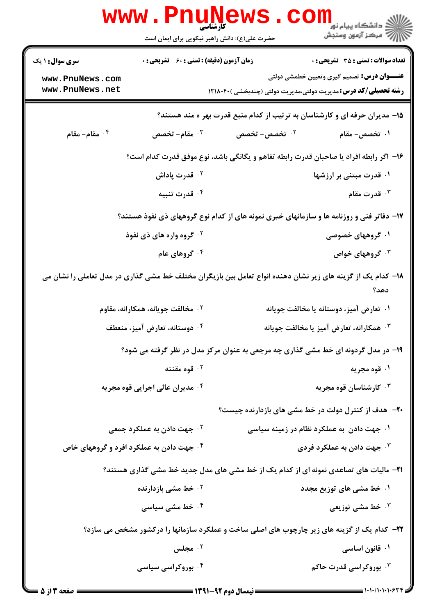|                                          | <b>www.Pnu</b><br><b>ی اسلامی</b><br>کارشناسی<br>حضرت علی(ع): دانش راهبر نیکویی برای ایمان است |                                                                                                              | ک دانشگاه پیام نور<br>اگر دانشگاه پیام نور<br>اگر مرکز آزمهن وسنجش |
|------------------------------------------|------------------------------------------------------------------------------------------------|--------------------------------------------------------------------------------------------------------------|--------------------------------------------------------------------|
| <b>سری سوال : ۱ یک</b>                   | <b>زمان آزمون (دقیقه) : تستی : 60 ٪ تشریحی : 0</b>                                             |                                                                                                              | <b>تعداد سوالات : تستي : 35 ٪ تشریحي : 0</b>                       |
| www.PnuNews.com                          |                                                                                                |                                                                                                              | <b>عنـــوان درس:</b> تصمیم گیری وتعیین خطمشی دولتی                 |
| www.PnuNews.net                          |                                                                                                | <b>رشته تحصیلی/کد درس:</b> مدیریت دولتی،مدیریت دولتی (چندبخشی )۲۱۸۰۴۰                                        |                                                                    |
|                                          |                                                                                                | ۱۵- مدیران حرفه ای و کارشناسان به ترتیب از کدام منبع قدرت بهر ه مند هستند؟                                   |                                                                    |
| ۰۴ مقام- مقام                            | ۰۳ مقام- ت <i>خصص</i>                                                                          | ۰۲ تخصص- تخصص                                                                                                | ۰۱ ت <i>خصص</i> – مقام                                             |
|                                          |                                                                                                | ۱۶– اگر رابطه افراد یا صاحبان قدرت رابطه تفاهم و یگانگی باشد، نوع موفق قدرت کدام است؟                        |                                                                    |
|                                          | ۰ <sup>۲</sup> قدرت پاداش                                                                      |                                                                                                              | ۰۱ قدرت مبتنی بر ارزشها                                            |
|                                          | ۰۴ قدرت تنبیه                                                                                  |                                                                                                              | تا قدرت مقام $\cdot$                                               |
|                                          |                                                                                                | ۱۷- دفاتر فنی و روزنامه ها و سازمانهای خبری نمونه های از کدام نوع گروههای ذی نفوذ هستند؟                     |                                                                    |
|                                          | <sup>۲ .</sup> گروه واره های ذی نفوذ                                                           |                                                                                                              | ۰۱ گروههای خصوصی                                                   |
|                                          | ۰۴ گروهای عام                                                                                  |                                                                                                              | ۰ <sup>۳</sup> گروههای خواص                                        |
|                                          |                                                                                                | ۱۸– کدام یک از گزینه های زیر نشان دهنده انواع تعامل بین بازیگران مختلف خط مشی گذاری در مدل تعاملی را نشان می | دهد؟                                                               |
|                                          | ۰۲ مخالفت جویانه، همکارانه، مقاوم                                                              |                                                                                                              | ۰۱ تعارض آمیز، دوستانه یا مخالفت جویانه                            |
|                                          | ۰۴ دوستانه، تعارض آمیز، منعطف                                                                  |                                                                                                              | ۰ <sup>۳</sup> همکارانه، تعارض آمیز یا مخالفت جویانه               |
|                                          |                                                                                                | ۱۹- در مدل گردونه ای خط مشی گذاری چه مرجعی به عنوان مرکز مدل در نظر گرفته می شود؟                            |                                                                    |
|                                          | قوه مقننه $\cdot$ ۲                                                                            |                                                                                                              | ۰۱ قوه مجریه                                                       |
|                                          | ۰۴ مدیران عالی اجرایی قوه مجریه                                                                |                                                                                                              | ۰ <sup>۳</sup> کارشناسان قوه مجریه                                 |
|                                          |                                                                                                | <b>۲۰</b> - هدف از کنترل دولت در خط مشی های بازدارنده چیست؟                                                  |                                                                    |
|                                          | ۰ <sup>۲</sup> جهت دادن به عملکرد جمعی                                                         | ۰۱ جهت دادن به عملکرد نظام در زمینه سیاسی                                                                    |                                                                    |
| ۰۴ جهت دادن به عملکرد افرد و گروههای خاص |                                                                                                |                                                                                                              | ۰ <sup>۳</sup> جهت دادن به عملکرد فردی                             |
|                                          |                                                                                                | <b>۲۱</b> - مالیات های تصاعدی نمونه ای از کدام یک از خط مشی های مدل جدید خط مشی گذاری هستند؟                 |                                                                    |
|                                          | <b>10 خط مشی بازدارنده</b>                                                                     |                                                                                                              | ۰۱ خط مشی های توزیع مجدد                                           |
|                                          | ۰ <sup>۴</sup> خط مشی سیاسی                                                                    |                                                                                                              | <b>40 خط مشی توزیعی</b> *                                          |
|                                          |                                                                                                | ۲۲- کدام یک از گزینه های زیر چارچوب های اصلی ساخت و عملکرد سازمانها را درکشور مشخص می سازد؟                  |                                                                    |
|                                          | ۰ <sup>۲</sup> مجلس                                                                            |                                                                                                              | ۰۱ قانون اساسی                                                     |
|                                          | ۰۴ بوروکراسی سیاسی                                                                             |                                                                                                              | ۰ <sup>۳</sup> بوروکراسی قدرت حاکم                                 |
|                                          |                                                                                                |                                                                                                              |                                                                    |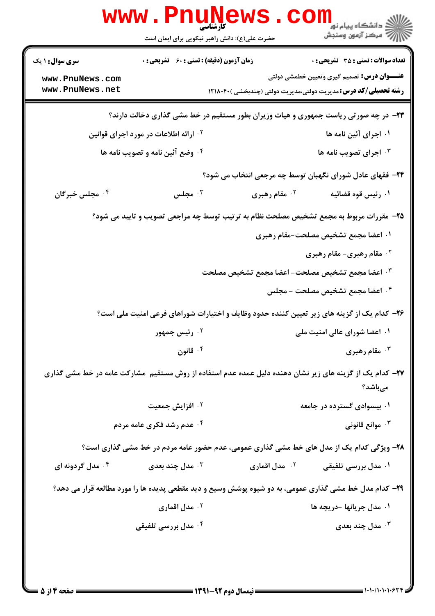|                                    | <b>WWW.PNUNEWS</b>                                 | کارشناسی<br>حضرت علی(ع): دانش راهبر نیکویی برای ایمان است | ڪ دانشڪاه پيام نور<br>ا∛ مرڪز آزمون وسنڊش                                                                                   |
|------------------------------------|----------------------------------------------------|-----------------------------------------------------------|-----------------------------------------------------------------------------------------------------------------------------|
| <b>سری سوال : ۱ یک</b>             | <b>زمان آزمون (دقیقه) : تستی : 60 ٪ تشریحی : 0</b> |                                                           | <b>تعداد سوالات : تستی : 35 - تشریحی : 0</b>                                                                                |
| www.PnuNews.com<br>www.PnuNews.net |                                                    |                                                           | <b>عنـــوان درس:</b> تصمیم گیری وتعیین خطمشی دولتی<br><b>رشته تحصیلی/کد درس:</b> مدیریت دولتی،مدیریت دولتی (چندبخشی )۲۱۸۰۴۰ |
|                                    |                                                    |                                                           | ۲۳- در چه صورتی ریاست جمهوری و هیات وزیران بطور مستقیم در خط مشی گذاری دخالت دارند؟                                         |
|                                    | <sup>۲ .</sup> ارائه اطلاعات در مورد اجرای قوانین  |                                                           | ۰۱ اجرای آئین نامه ها                                                                                                       |
|                                    | ۰۴ وضع آئین نامه و تصویب نامه ها                   |                                                           | ۰۳ اجرای تصویب نامه ها                                                                                                      |
|                                    |                                                    |                                                           | ۲۴- فقهای عادل شورای نگهبان توسط چه مرجعی انتخاب می شود؟                                                                    |
| ۰۴ مجلس خبرگان                     | مجلس $\cdot$                                       | <sup>۲.</sup> مقام رهبری                                  | ۰۱ رئیس قوه قضائیه                                                                                                          |
|                                    |                                                    |                                                           | ۲۵- مقررات مربوط به مجمع تشخیص مصلحت نظام به ترتیب توسط چه مراجعی تصویب و تایید می شود؟                                     |
|                                    |                                                    |                                                           | ۰۱ اعضا مجمع تشخیص مصلحت-مقام رهبری                                                                                         |
|                                    |                                                    |                                                           | ۰ <sup>۲</sup> مقام رهبری- مقام رهبری                                                                                       |
|                                    |                                                    | ۰۳ اعضا مجمع تشخیص مصلحت– اعضا مجمع تشخیص مصلحت           |                                                                                                                             |
|                                    |                                                    |                                                           | ۰۴ اعضا مجمع تشخیص مصلحت – مجلس                                                                                             |
|                                    |                                                    |                                                           | ۲۶– کدام یک از گزینه های زیر تعیین کننده حدود وظایف و اختیارات شوراهای فرعی امنیت ملی است؟                                  |
|                                    | ۰ <sup>۲</sup> رئیس جمهور                          |                                                           | ۰۱ اعضا شورای عالی امنیت ملی                                                                                                |
|                                    | ۰۴ قانون                                           |                                                           | ۰ <sup>۳</sup> مقام رهبری                                                                                                   |
|                                    |                                                    |                                                           | ۲۷– کدام یک از گزینه های زیر نشان دهنده دلیل عمده عدم استفاده از روش مستقیم ًمشارکت عامه در خط مشی گذاری<br>مىباشد؟         |
|                                    | ۰ <sup>۲</sup> افزایش جمعیت                        |                                                           | ۰۱ بیسوادی گسترده در جامعه                                                                                                  |
|                                    | <b>۴ عدم رشد فکری عامه مردم</b>                    |                                                           | وانع قانونی $\cdot^{\mathsf{y}}$                                                                                            |
|                                    |                                                    |                                                           | ۲۸- ویژگی کدام یک از مدل های خط مشی گذاری عمومی، عدم حضور عامه مردم در خط مشی گذاری است؟                                    |
| ۰۴ مدل گردونه ای                   | مدل چند بعدی $\cdot^{\mathtt{w}}$                  | ۰ <sup>۲</sup> مدل اقماری                                 | ۰۱ مدل بررسی تلفیقی                                                                                                         |
|                                    |                                                    |                                                           | ۲۹- کدام مدل خط مشی گذاری عمومی، به دو شیوه پوشش وسیع و دید مقطعی پدیده ها را مورد مطالعه قرار می دهد؟                      |
|                                    | ۰ <sup>۲</sup> مدل اقماری                          |                                                           | ۰۱ مدل جريانها -دريچه ها                                                                                                    |
|                                    | ۰ <sup>۴</sup> مدل بررسی تلفیقی                    |                                                           | مدل چند بعدی $\cdot^{\mathsf{y}}$                                                                                           |
|                                    |                                                    |                                                           |                                                                                                                             |
|                                    |                                                    |                                                           |                                                                                                                             |